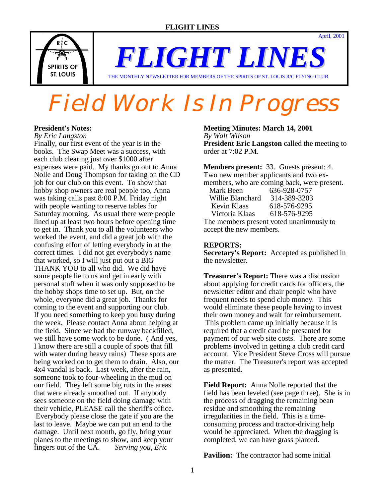

*FLIGHT LINES* THE MONTHLY NEWSLETTER FOR MEMBERS OF THE SPIRITS OF ST. LOUIS R/C FLYING CLUB

Field Work Is In Progress

#### **President's Notes:**

*By Eric Langston*

Finally, our first event of the year is in the books. The Swap Meet was a success, with each club clearing just over \$1000 after expenses were paid. My thanks go out to Anna Nolle and Doug Thompson for taking on the CD job for our club on this event. To show that hobby shop owners are real people too, Anna was taking calls past 8:00 P.M. Friday night with people wanting to reserve tables for Saturday morning. As usual there were people lined up at least two hours before opening time to get in. Thank you to all the volunteers who worked the event, and did a great job with the confusing effort of letting everybody in at the correct times. I did not get everybody's name that worked, so I will just put out a BIG THANK YOU to all who did. We did have some people lie to us and get in early with personal stuff when it was only supposed to be the hobby shops time to set up. But, on the whole, everyone did a great job. Thanks for coming to the event and supporting our club. If you need something to keep you busy during the week, Please contact Anna about helping at the field. Since we had the runway backfilled, we still have some work to be done. ( And yes, I know there are still a couple of spots that fill with water during heavy rains) These spots are being worked on to get them to drain. Also, our 4x4 vandal is back. Last week, after the rain, someone took to four-wheeling in the mud on our field. They left some big ruts in the areas that were already smoothed out. If anybody sees someone on the field doing damage with their vehicle, PLEASE call the sheriff's office. Everybody please close the gate if you are the last to leave. Maybe we can put an end to the damage. Until next month, go fly, bring your planes to the meetings to show, and keep your fingers out of the CA. *Serving you, Eric*

#### **Meeting Minutes: March 14, 2001**

*By Walt Wilson* **President Eric Langston** called the meeting to order at 7:02 P.M.

**Members present:** 33. Guests present: 4. Two new member applicants and two exmembers, who are coming back, were present. Mark Been 636-928-0757 Willie Blanchard 314-389-3203 Kevin Klaas 618-576-9295<br>Victoria Klaas 618-576-9295 Victoria Klaas The members present voted unanimously to accept the new members.

#### **REPORTS:**

**Secretary's Report:** Accepted as published in the newsletter.

**Treasurer's Report:** There was a discussion about applying for credit cards for officers, the newsletter editor and chair people who have frequent needs to spend club money. This would eliminate these people having to invest their own money and wait for reimbursement. This problem came up initially because it is required that a credit card be presented for payment of our web site costs. There are some problems involved in getting a club credit card account. Vice President Steve Cross will pursue the matter. The Treasurer's report was accepted as presented.

**Field Report:** Anna Nolle reported that the field has been leveled (see page three). She is in the process of dragging the remaining bean residue and smoothing the remaining irregularities in the field. This is a timeconsuming process and tractor-driving help would be appreciated. When the dragging is completed, we can have grass planted.

**Pavilion:** The contractor had some initial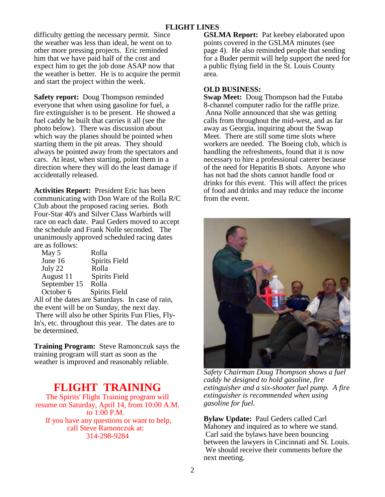difficulty getting the necessary permit. Since the weather was less than ideal, he went on to other more pressing projects. Eric reminded him that we have paid half of the cost and expect him to get the job done ASAP now that the weather is better. He is to acquire the permit and start the project within the week.

**Safety report:** Doug Thompson reminded everyone that when using gasoline for fuel, a fire extinguisher is to be present. He showed a fuel caddy he built that carries it all (see the photo below). There was discussion about which way the planes should be pointed when starting them in the pit areas. They should always be pointed away from the spectators and cars. At least, when starting, point them in a direction where they will do the least damage if accidentally released.

**Activities Report:** President Eric has been communicating with Don Ware of the Rolla R/C Club about the proposed racing series. Both Four-Star 40's and Silver Class Warbirds will race on each date. Paul Geders moved to accept the schedule and Frank Nolle seconded. The unanimously approved scheduled racing dates are as follows:

| May 5        | Rolla                                  |
|--------------|----------------------------------------|
| June 16      | <b>Spirits Field</b>                   |
| July 22      | Rolla                                  |
| August 11    | <b>Spirits Field</b>                   |
| September 15 | Rolla                                  |
| October 6    | <b>Spirits Field</b>                   |
|              | All of the detectors Cotundation In an |

All of the dates are Saturdays. In case of rain, the event will be on Sunday, the next day. There will also be other Spirits Fun Flies, Fly-In's, etc. throughout this year. The dates are to be determined.

**Training Program:** Steve Ramonczuk says the training program will start as soon as the weather is improved and reasonably reliable.

# **FLIGHT TRAINING**

The Spirits' Flight Training program will resume on Saturday, April 14, from 10:00 A.M. to 1:00 P.M. If you have any questions or want to help, call Steve Ramonczuk at: 314-298-9284

**GSLMA Report:** Pat keebey elaborated upon points covered in the GSLMA minutes (see page 4). He also reminded people that sending for a Buder permit will help support the need for a public flying field in the St. Louis County area.

# **OLD BUSINESS:**

**Swap Meet:** Doug Thompson had the Futaba 8-channel computer radio for the raffle prize. Anna Nolle announced that she was getting calls from throughout the mid-west, and as far away as Georgia, inquiring about the Swap Meet. There are still some time slots where workers are needed. The Boeing club, which is handling the refreshments, found that it is now necessary to hire a professional caterer because of the need for Hepatitis B shots. Anyone who has not had the shots cannot handle food or drinks for this event. This will affect the prices of food and drinks and may reduce the income from the event.



*Safety Chairman Doug Thompson shows a fuel caddy he designed to hold gasoline, fire extinguisher and a six-shooter fuel pump. A fire extinguisher is recommended when using gasoline for fuel.* 

**Bylaw Update:** Paul Geders called Carl Mahoney and inquired as to where we stand. Carl said the bylaws have been bouncing between the lawyers in Cincinnati and St. Louis. We should receive their comments before the next meeting.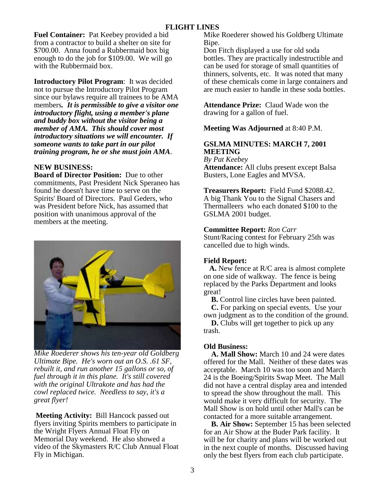**Fuel Container:** Pat Keebey provided a bid from a contractor to build a shelter on site for \$700.00. Anna found a Rubbermaid box big enough to do the job for \$109.00. We will go with the Rubbermaid box.

**Introductory Pilot Program**: It was decided not to pursue the Introductory Pilot Program since our bylaws require all trainees to be AMA members*. It is permissible to give a visitor one introductory flight, using a member's plane and buddy box without the visitor being a member of AMA. This should cover most introductory situations we will encounter. If someone wants to take part in our pilot training program, he or she must join AMA*.

# **NEW BUSINESS:**

**Board of Director Position:** Due to other commitments, Past President Nick Speraneo has found he doesn't have time to serve on the Spirits' Board of Directors. Paul Geders, who was President before Nick, has assumed that position with unanimous approval of the members at the meeting.



*Mike Roederer shows his ten-year old Goldberg Ultimate Bipe. He's worn out an O.S. .61 SF, rebuilt it, and run another 15 gallons or so, of fuel through it in this plane. It's still covered with the original Ultrakote and has had the cowl replaced twice. Needless to say, it's a great flyer!* 

 **Meeting Activity:** Bill Hancock passed out flyers inviting Spirits members to participate in the Wright Flyers Annual Float Fly on Memorial Day weekend. He also showed a video of the Skymasters R/C Club Annual Float Fly in Michigan.

Mike Roederer showed his Goldberg Ultimate Bipe.

Don Fitch displayed a use for old soda bottles. They are practically indestructible and can be used for storage of small quantities of thinners, solvents, etc. It was noted that many of these chemicals come in large containers and are much easier to handle in these soda bottles.

**Attendance Prize:** Claud Wade won the drawing for a gallon of fuel.

#### **Meeting Was Adjourned** at 8:40 P.M.

# **GSLMA MINUTES: MARCH 7, 2001 MEETING**

*By Pat Keebey* **Attendance:** All clubs present except Balsa Busters, Lone Eagles and MVSA.

**Treasurers Report:** Field Fund \$2088.42. A big Thank You to the Signal Chasers and Thermalleers who each donated \$100 to the GSLMA 2001 budget.

# **Committee Report:** *Ron Carr*

Stunt/Racing contest for February 25th was cancelled due to high winds.

#### **Field Report:**

 **A.** New fence at R/C area is almost complete on one side of walkway. The fence is being replaced by the Parks Department and looks great!

 **B.** Control line circles have been painted.

 **C.** For parking on special events. Use your own judgment as to the condition of the ground.

 **D.** Clubs will get together to pick up any trash.

# **Old Business:**

 **A. Mall Show:** March 10 and 24 were dates offered for the Mall. Neither of these dates was acceptable. March 10 was too soon and March 24 is the Boeing/Spirits Swap Meet. The Mall did not have a central display area and intended to spread the show throughout the mall. This would make it very difficult for security. The Mall Show is on hold until other Mall's can be contacted for a more suitable arrangement.

 **B. Air Show:** September 15 has been selected for an Air Show at the Buder Park facility. It will be for charity and plans will be worked out in the next couple of months. Discussed having only the best flyers from each club participate.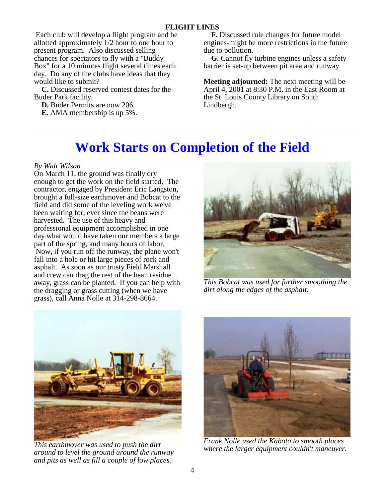Each club will develop a flight program and be allotted approximately 1/2 hour to one hour to present program. Also discussed selling chances for spectators to fly with a "Buddy Box" for a 10 minutes flight several times each day. Do any of the clubs have ideas that they would like to submit?

 **C.** Discussed reserved contest dates for the Buder Park facility.

 **D.** Buder Permits are now 206.  **E.** AMA membership is up 5%.

 **F.** Discussed rule changes for future model engines-might be more restrictions in the future due to pollution.

 **G.** Cannot fly turbine engines unless a safety barrier is set-up between pit area and runway

**Meeting adjourned:** The next meeting will be April 4, 2001 at 8:30 P.M. in the East Room at the St. Louis County Library on South Lindbergh.

# **Work Starts on Completion of the Field**

# *By Walt Wilson*

On March 11, the ground was finally dry enough to get the work on the field started. The contractor, engaged by President Eric Langston, brought a full-size earthmover and Bobcat to the field and did some of the leveling work we've been waiting for, ever since the beans were harvested. The use of this heavy and professional equipment accomplished in one day what would have taken our members a large part of the spring, and many hours of labor. Now, if you run off the runway, the plane won't fall into a hole or hit large pieces of rock and asphalt. As soon as our trusty Field Marshall and crew can drag the rest of the bean residue away, grass can be planted. If you can help with the dragging or grass cutting (when we have grass), call Anna Nolle at 314-298-8664.



*This Bobcat was used for further smoothing the dirt along the edges of the asphalt.* 



*This earthmover was used to push the dirt around to level the ground around the runway and pits as well as fill a couple of low places.* 



*Frank Nolle used the Kabota to smooth places where the larger equipment couldn't maneuver.*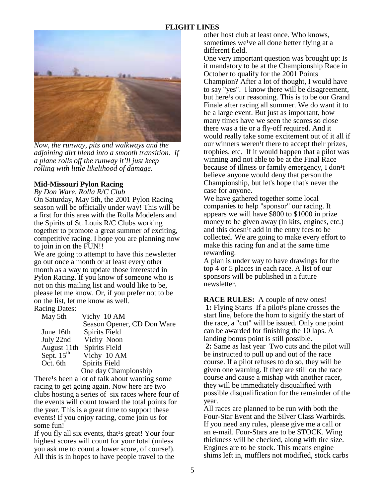

*Now, the runway, pits and walkways and the adjoining dirt blend into a smooth transition. If a plane rolls off the runway it'll just keep rolling with little likelihood of damage.* 

#### **Mid-Missouri Pylon Racing**

*By Don Ware, Rolla R/C Club*

On Saturday, May 5th, the 2001 Pylon Racing season will be officially under way! This will be a first for this area with the Rolla Modelers and the Spirits of St. Louis R/C Clubs working together to promote a great summer of exciting, competitive racing. I hope you are planning now to join in on the FUN!!

We are going to attempt to have this newsletter go out once a month or at least every other month as a way to update those interested in Pylon Racing. If you know of someone who is not on this mailing list and would like to be, please let me know. Or, if you prefer not to be on the list, let me know as well. Racing Dates:

| May 5th              | Vichy 10 AM                |  |
|----------------------|----------------------------|--|
|                      | Season Opener, CD Don Ware |  |
| June 16th            | <b>Spirits Field</b>       |  |
| July 22nd            | Vichy Noon                 |  |
| August 11th          | <b>Spirits Field</b>       |  |
| Sept. $15th$         | Vichy 10 AM                |  |
| Oct. 6th             | Spirits Field              |  |
| One day Championship |                            |  |

There<sup>1</sup>s been a lot of talk about wanting some racing to get going again. Now here are two clubs hosting a series of six races where four of the events will count toward the total points for the year. This is a great time to support these events! If you enjoy racing, come join us for some fun!

If you fly all six events, that<sup>1</sup>s great! Your four highest scores will count for your total (unless you ask me to count a lower score, of course!). All this is in hopes to have people travel to the

other host club at least once. Who knows, sometimes we<sup>1</sup>ve all done better flying at a different field.

One very important question was brought up: Is it mandatory to be at the Championship Race in October to qualify for the 2001 Points Champion? After a lot of thought, I would have to say "yes". I know there will be disagreement, but here<sup>1</sup>s our reasoning. This is to be our Grand Finale after racing all summer. We do want it to be a large event. But just as important, how many times have we seen the scores so close there was a tie or a fly-off required. And it would really take some excitement out of it all if our winners weren<sup>1</sup>t there to accept their prizes, trophies, etc. If it would happen that a pilot was winning and not able to be at the Final Race because of illness or family emergency, I don<sup>1</sup>t believe anyone would deny that person the Championship, but let's hope that's never the case for anyone.

We have gathered together some local companies to help "sponsor" our racing. It appears we will have \$800 to \$1000 in prize money to be given away (in kits, engines, etc.) and this doesn<sup>1</sup>t add in the entry fees to be collected. We are going to make every effort to make this racing fun and at the same time rewarding.

A plan is under way to have drawings for the top 4 or 5 places in each race. A list of our sponsors will be published in a future newsletter.

**RACE RULES:** A couple of new ones! **1:** Flying Starts If a pilot<sup>1</sup>s plane crosses the start line, before the horn to signify the start of the race, a "cut" will be issued. Only one point can be awarded for finishing the 10 laps. A landing bonus point is still possible.

 **2:** Same as last year Two cuts and the pilot will be instructed to pull up and out of the race course. If a pilot refuses to do so, they will be given one warning. If they are still on the race course and cause a mishap with another racer, they will be immediately disqualified with possible disqualification for the remainder of the year.

All races are planned to be run with both the Four-Star Event and the Silver Class Warbirds. If you need any rules, please give me a call or an e-mail. Four-Stars are to be STOCK. Wing thickness will be checked, along with tire size. Engines are to be stock. This means engine shims left in, mufflers not modified, stock carbs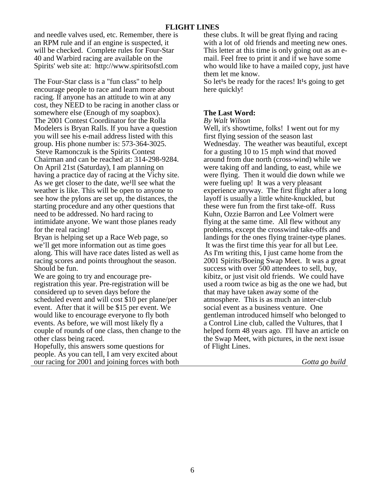and needle valves used, etc. Remember, there is an RPM rule and if an engine is suspected, it will be checked. Complete rules for Four-Star 40 and Warbird racing are available on the Spirits' web site at: http://www.spiritsofstl.com

The Four-Star class is a "fun class" to help encourage people to race and learn more about racing. If anyone has an attitude to win at any cost, they NEED to be racing in another class or somewhere else (Enough of my soapbox). The 2001 Contest Coordinator for the Rolla Modelers is Bryan Ralls. If you have a question you will see his e-mail address listed with this group. His phone number is: 573-364-3025. Steve Ramonczuk is the Spirits Contest Chairman and can be reached at: 314-298-9284. On April 21st (Saturday), I am planning on having a practice day of racing at the Vichy site. As we get closer to the date, we<sup>lll</sup> see what the weather is like. This will be open to anyone to see how the pylons are set up, the distances, the starting procedure and any other questions that need to be addressed. No hard racing to intimidate anyone. We want those planes ready for the real racing!

Bryan is helping set up a Race Web page, so we'll get more information out as time goes along. This will have race dates listed as well as racing scores and points throughout the season. Should be fun.

We are going to try and encourage preregistration this year. Pre-registration will be considered up to seven days before the scheduled event and will cost \$10 per plane/per event. After that it will be \$15 per event. We would like to encourage everyone to fly both events. As before, we will most likely fly a couple of rounds of one class, then change to the other class being raced.

Hopefully, this answers some questions for people. As you can tell, I am very excited about our racing for 2001 and joining forces with both these clubs. It will be great flying and racing with a lot of old friends and meeting new ones. This letter at this time is only going out as an email. Feel free to print it and if we have some who would like to have a mailed copy, just have them let me know.

So let<sup>1</sup>s be ready for the races! It<sup>1</sup>s going to get here quickly!

#### **The Last Word:**

*By Walt Wilson*

Well, it's showtime, folks! I went out for my first flying session of the season last Wednesday. The weather was beautiful, except for a gusting 10 to 15 mph wind that moved around from due north (cross-wind) while we were taking off and landing, to east, while we were flying. Then it would die down while we were fueling up! It was a very pleasant experience anyway. The first flight after a long layoff is usually a little white-knuckled, but these were fun from the first take-off. Russ Kuhn, Ozzie Barron and Lee Volmert were flying at the same time. All flew without any problems, except the crosswind take-offs and landings for the ones flying trainer-type planes. It was the first time this year for all but Lee. As I'm writing this, I just came home from the 2001 Spirits/Boeing Swap Meet. It was a great success with over 500 attendees to sell, buy, kibitz, or just visit old friends. We could have used a room twice as big as the one we had, but that may have taken away some of the atmosphere. This is as much an inter-club social event as a business venture. One gentleman introduced himself who belonged to a Control Line club, called the Vultures, that I helped form 48 years ago. I'll have an article on the Swap Meet, with pictures, in the next issue of Flight Lines.

*Gotta go build*